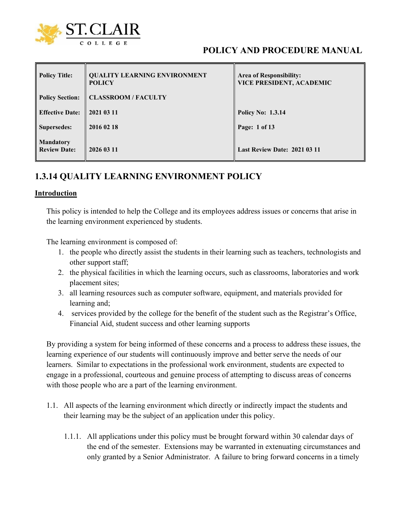

# **POLICY AND PROCEDURE MANUAL**

| <b>Policy Title:</b>                    | <b>QUALITY LEARNING ENVIRONMENT</b><br><b>POLICY</b> | <b>Area of Responsibility:</b><br><b>VICE PRESIDENT, ACADEMIC</b> |
|-----------------------------------------|------------------------------------------------------|-------------------------------------------------------------------|
| <b>Policy Section:</b>                  | <b>CLASSROOM / FACULTY</b>                           |                                                                   |
| <b>Effective Date:</b>                  | 2021 03 11                                           | <b>Policy No: 1.3.14</b>                                          |
| <b>Supersedes:</b>                      | 2016 02 18                                           | Page: 1 of 13                                                     |
| <b>Mandatory</b><br><b>Review Date:</b> | 2026 03 11                                           | <b>Last Review Date: 2021 03 11</b>                               |

# **1.3.14 QUALITY LEARNING ENVIRONMENT POLICY**

#### **Introduction**

This policy is intended to help the College and its employees address issues or concerns that arise in the learning environment experienced by students.

The learning environment is composed of:

- 1. the people who directly assist the students in their learning such as teachers, technologists and other support staff;
- 2. the physical facilities in which the learning occurs, such as classrooms, laboratories and work placement sites;
- 3. all learning resources such as computer software, equipment, and materials provided for learning and;
- 4. services provided by the college for the benefit of the student such as the Registrar's Office, Financial Aid, student success and other learning supports

By providing a system for being informed of these concerns and a process to address these issues, the learning experience of our students will continuously improve and better serve the needs of our learners. Similar to expectations in the professional work environment, students are expected to engage in a professional, courteous and genuine process of attempting to discuss areas of concerns with those people who are a part of the learning environment.

- 1.1. All aspects of the learning environment which directly or indirectly impact the students and their learning may be the subject of an application under this policy.
	- 1.1.1. All applications under this policy must be brought forward within 30 calendar days of the end of the semester. Extensions may be warranted in extenuating circumstances and only granted by a Senior Administrator. A failure to bring forward concerns in a timely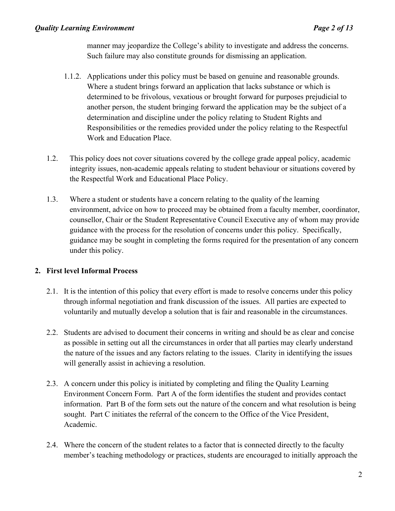### *Quality Learning Environment Page 2 of 13*

manner may jeopardize the College's ability to investigate and address the concerns. Such failure may also constitute grounds for dismissing an application.

- 1.1.2. Applications under this policy must be based on genuine and reasonable grounds. Where a student brings forward an application that lacks substance or which is determined to be frivolous, vexatious or brought forward for purposes prejudicial to another person, the student bringing forward the application may be the subject of a determination and discipline under the policy relating to Student Rights and Responsibilities or the remedies provided under the policy relating to the Respectful Work and Education Place.
- 1.2. This policy does not cover situations covered by the college grade appeal policy, academic integrity issues, non-academic appeals relating to student behaviour or situations covered by the Respectful Work and Educational Place Policy.
- 1.3. Where a student or students have a concern relating to the quality of the learning environment, advice on how to proceed may be obtained from a faculty member, coordinator, counsellor, Chair or the Student Representative Council Executive any of whom may provide guidance with the process for the resolution of concerns under this policy. Specifically, guidance may be sought in completing the forms required for the presentation of any concern under this policy.

## **2. First level Informal Process**

- 2.1. It is the intention of this policy that every effort is made to resolve concerns under this policy through informal negotiation and frank discussion of the issues. All parties are expected to voluntarily and mutually develop a solution that is fair and reasonable in the circumstances.
- 2.2. Students are advised to document their concerns in writing and should be as clear and concise as possible in setting out all the circumstances in order that all parties may clearly understand the nature of the issues and any factors relating to the issues. Clarity in identifying the issues will generally assist in achieving a resolution.
- 2.3. A concern under this policy is initiated by completing and filing the Quality Learning Environment Concern Form. Part A of the form identifies the student and provides contact information. Part B of the form sets out the nature of the concern and what resolution is being sought. Part C initiates the referral of the concern to the Office of the Vice President, Academic.
- 2.4. Where the concern of the student relates to a factor that is connected directly to the faculty member's teaching methodology or practices, students are encouraged to initially approach the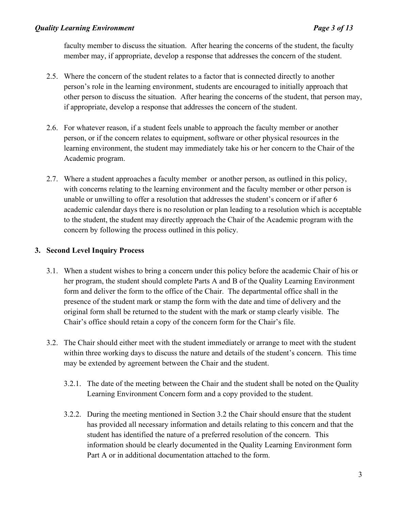faculty member to discuss the situation. After hearing the concerns of the student, the faculty member may, if appropriate, develop a response that addresses the concern of the student.

- 2.5. Where the concern of the student relates to a factor that is connected directly to another person's role in the learning environment, students are encouraged to initially approach that other person to discuss the situation. After hearing the concerns of the student, that person may, if appropriate, develop a response that addresses the concern of the student.
- 2.6. For whatever reason, if a student feels unable to approach the faculty member or another person, or if the concern relates to equipment, software or other physical resources in the learning environment, the student may immediately take his or her concern to the Chair of the Academic program.
- 2.7. Where a student approaches a faculty member or another person, as outlined in this policy, with concerns relating to the learning environment and the faculty member or other person is unable or unwilling to offer a resolution that addresses the student's concern or if after 6 academic calendar days there is no resolution or plan leading to a resolution which is acceptable to the student, the student may directly approach the Chair of the Academic program with the concern by following the process outlined in this policy.

## **3. Second Level Inquiry Process**

- 3.1. When a student wishes to bring a concern under this policy before the academic Chair of his or her program, the student should complete Parts A and B of the Quality Learning Environment form and deliver the form to the office of the Chair. The departmental office shall in the presence of the student mark or stamp the form with the date and time of delivery and the original form shall be returned to the student with the mark or stamp clearly visible. The Chair's office should retain a copy of the concern form for the Chair's file.
- 3.2. The Chair should either meet with the student immediately or arrange to meet with the student within three working days to discuss the nature and details of the student's concern. This time may be extended by agreement between the Chair and the student.
	- 3.2.1. The date of the meeting between the Chair and the student shall be noted on the Quality Learning Environment Concern form and a copy provided to the student.
	- 3.2.2. During the meeting mentioned in Section 3.2 the Chair should ensure that the student has provided all necessary information and details relating to this concern and that the student has identified the nature of a preferred resolution of the concern. This information should be clearly documented in the Quality Learning Environment form Part A or in additional documentation attached to the form.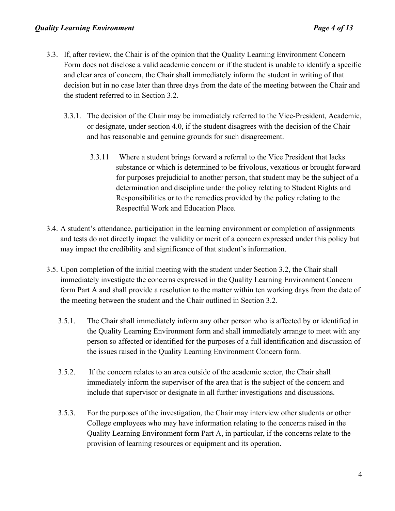- 3.3. If, after review, the Chair is of the opinion that the Quality Learning Environment Concern Form does not disclose a valid academic concern or if the student is unable to identify a specific and clear area of concern, the Chair shall immediately inform the student in writing of that decision but in no case later than three days from the date of the meeting between the Chair and the student referred to in Section 3.2.
	- 3.3.1. The decision of the Chair may be immediately referred to the Vice-President, Academic, or designate, under section 4.0, if the student disagrees with the decision of the Chair and has reasonable and genuine grounds for such disagreement.
		- 3.3.11 Where a student brings forward a referral to the Vice President that lacks substance or which is determined to be frivolous, vexatious or brought forward for purposes prejudicial to another person, that student may be the subject of a determination and discipline under the policy relating to Student Rights and Responsibilities or to the remedies provided by the policy relating to the Respectful Work and Education Place.
- 3.4. A student's attendance, participation in the learning environment or completion of assignments and tests do not directly impact the validity or merit of a concern expressed under this policy but may impact the credibility and significance of that student's information.
- 3.5. Upon completion of the initial meeting with the student under Section 3.2, the Chair shall immediately investigate the concerns expressed in the Quality Learning Environment Concern form Part A and shall provide a resolution to the matter within ten working days from the date of the meeting between the student and the Chair outlined in Section 3.2.
	- 3.5.1. The Chair shall immediately inform any other person who is affected by or identified in the Quality Learning Environment form and shall immediately arrange to meet with any person so affected or identified for the purposes of a full identification and discussion of the issues raised in the Quality Learning Environment Concern form.
	- 3.5.2. If the concern relates to an area outside of the academic sector, the Chair shall immediately inform the supervisor of the area that is the subject of the concern and include that supervisor or designate in all further investigations and discussions.
	- 3.5.3. For the purposes of the investigation, the Chair may interview other students or other College employees who may have information relating to the concerns raised in the Quality Learning Environment form Part A, in particular, if the concerns relate to the provision of learning resources or equipment and its operation.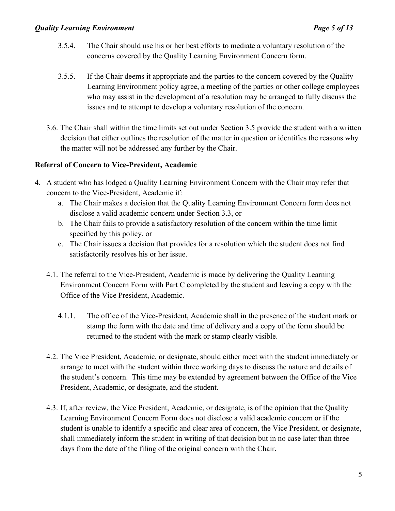- 3.5.4. The Chair should use his or her best efforts to mediate a voluntary resolution of the concerns covered by the Quality Learning Environment Concern form.
- 3.5.5. If the Chair deems it appropriate and the parties to the concern covered by the Quality Learning Environment policy agree, a meeting of the parties or other college employees who may assist in the development of a resolution may be arranged to fully discuss the issues and to attempt to develop a voluntary resolution of the concern.
- 3.6. The Chair shall within the time limits set out under Section 3.5 provide the student with a written decision that either outlines the resolution of the matter in question or identifies the reasons why the matter will not be addressed any further by the Chair.

## **Referral of Concern to Vice-President, Academic**

- 4. A student who has lodged a Quality Learning Environment Concern with the Chair may refer that concern to the Vice-President, Academic if:
	- a. The Chair makes a decision that the Quality Learning Environment Concern form does not disclose a valid academic concern under Section 3.3, or
	- b. The Chair fails to provide a satisfactory resolution of the concern within the time limit specified by this policy, or
	- c. The Chair issues a decision that provides for a resolution which the student does not find satisfactorily resolves his or her issue.
	- 4.1. The referral to the Vice-President, Academic is made by delivering the Quality Learning Environment Concern Form with Part C completed by the student and leaving a copy with the Office of the Vice President, Academic.
		- 4.1.1. The office of the Vice-President, Academic shall in the presence of the student mark or stamp the form with the date and time of delivery and a copy of the form should be returned to the student with the mark or stamp clearly visible.
	- 4.2. The Vice President, Academic, or designate, should either meet with the student immediately or arrange to meet with the student within three working days to discuss the nature and details of the student's concern. This time may be extended by agreement between the Office of the Vice President, Academic, or designate, and the student.
	- 4.3. If, after review, the Vice President, Academic, or designate, is of the opinion that the Quality Learning Environment Concern Form does not disclose a valid academic concern or if the student is unable to identify a specific and clear area of concern, the Vice President, or designate, shall immediately inform the student in writing of that decision but in no case later than three days from the date of the filing of the original concern with the Chair.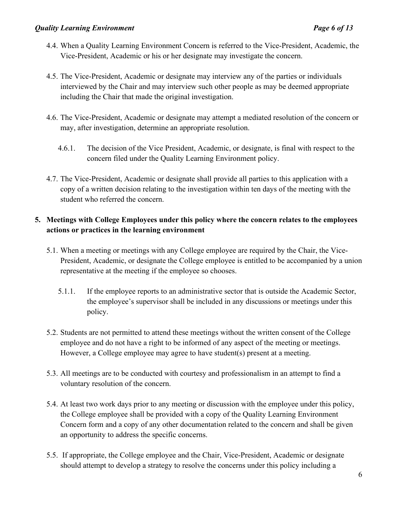- 4.4. When a Quality Learning Environment Concern is referred to the Vice-President, Academic, the Vice-President, Academic or his or her designate may investigate the concern.
- 4.5. The Vice-President, Academic or designate may interview any of the parties or individuals interviewed by the Chair and may interview such other people as may be deemed appropriate including the Chair that made the original investigation.
- 4.6. The Vice-President, Academic or designate may attempt a mediated resolution of the concern or may, after investigation, determine an appropriate resolution.
	- 4.6.1. The decision of the Vice President, Academic, or designate, is final with respect to the concern filed under the Quality Learning Environment policy.
- 4.7. The Vice-President, Academic or designate shall provide all parties to this application with a copy of a written decision relating to the investigation within ten days of the meeting with the student who referred the concern.

# **5. Meetings with College Employees under this policy where the concern relates to the employees actions or practices in the learning environment**

- 5.1. When a meeting or meetings with any College employee are required by the Chair, the Vice-President, Academic, or designate the College employee is entitled to be accompanied by a union representative at the meeting if the employee so chooses.
	- 5.1.1. If the employee reports to an administrative sector that is outside the Academic Sector, the employee's supervisor shall be included in any discussions or meetings under this policy.
- 5.2. Students are not permitted to attend these meetings without the written consent of the College employee and do not have a right to be informed of any aspect of the meeting or meetings. However, a College employee may agree to have student(s) present at a meeting.
- 5.3. All meetings are to be conducted with courtesy and professionalism in an attempt to find a voluntary resolution of the concern.
- 5.4. At least two work days prior to any meeting or discussion with the employee under this policy, the College employee shall be provided with a copy of the Quality Learning Environment Concern form and a copy of any other documentation related to the concern and shall be given an opportunity to address the specific concerns.
- 5.5. If appropriate, the College employee and the Chair, Vice-President, Academic or designate should attempt to develop a strategy to resolve the concerns under this policy including a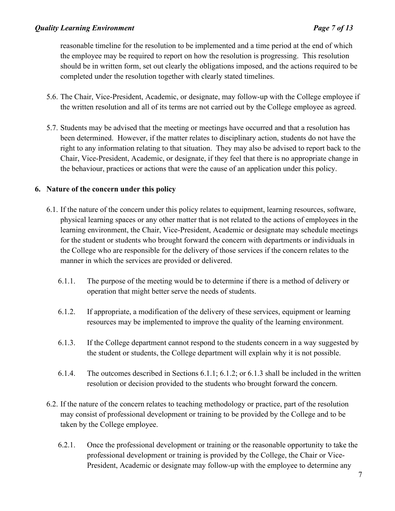reasonable timeline for the resolution to be implemented and a time period at the end of which the employee may be required to report on how the resolution is progressing. This resolution should be in written form, set out clearly the obligations imposed, and the actions required to be completed under the resolution together with clearly stated timelines.

- 5.6. The Chair, Vice-President, Academic, or designate, may follow-up with the College employee if the written resolution and all of its terms are not carried out by the College employee as agreed.
- 5.7. Students may be advised that the meeting or meetings have occurred and that a resolution has been determined. However, if the matter relates to disciplinary action, students do not have the right to any information relating to that situation. They may also be advised to report back to the Chair, Vice-President, Academic, or designate, if they feel that there is no appropriate change in the behaviour, practices or actions that were the cause of an application under this policy.

## **6. Nature of the concern under this policy**

- 6.1. If the nature of the concern under this policy relates to equipment, learning resources, software, physical learning spaces or any other matter that is not related to the actions of employees in the learning environment, the Chair, Vice-President, Academic or designate may schedule meetings for the student or students who brought forward the concern with departments or individuals in the College who are responsible for the delivery of those services if the concern relates to the manner in which the services are provided or delivered.
	- 6.1.1. The purpose of the meeting would be to determine if there is a method of delivery or operation that might better serve the needs of students.
	- 6.1.2. If appropriate, a modification of the delivery of these services, equipment or learning resources may be implemented to improve the quality of the learning environment.
	- 6.1.3. If the College department cannot respond to the students concern in a way suggested by the student or students, the College department will explain why it is not possible.
	- 6.1.4. The outcomes described in Sections 6.1.1; 6.1.2; or 6.1.3 shall be included in the written resolution or decision provided to the students who brought forward the concern.
- 6.2. If the nature of the concern relates to teaching methodology or practice, part of the resolution may consist of professional development or training to be provided by the College and to be taken by the College employee.
	- 6.2.1. Once the professional development or training or the reasonable opportunity to take the professional development or training is provided by the College, the Chair or Vice-President, Academic or designate may follow-up with the employee to determine any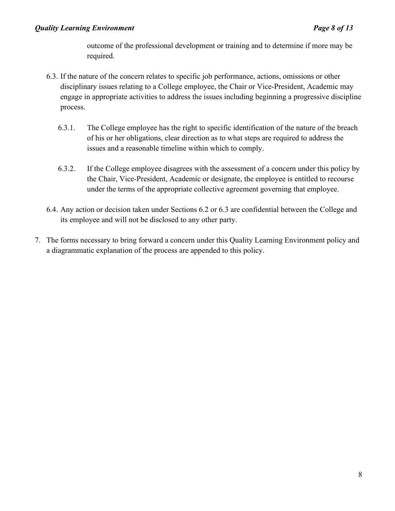outcome of the professional development or training and to determine if more may be required.

- 6.3. If the nature of the concern relates to specific job performance, actions, omissions or other disciplinary issues relating to a College employee, the Chair or Vice-President, Academic may engage in appropriate activities to address the issues including beginning a progressive discipline process.
	- 6.3.1. The College employee has the right to specific identification of the nature of the breach of his or her obligations, clear direction as to what steps are required to address the issues and a reasonable timeline within which to comply.
	- 6.3.2. If the College employee disagrees with the assessment of a concern under this policy by the Chair, Vice-President, Academic or designate, the employee is entitled to recourse under the terms of the appropriate collective agreement governing that employee.
- 6.4. Any action or decision taken under Sections 6.2 or 6.3 are confidential between the College and its employee and will not be disclosed to any other party.
- 7. The forms necessary to bring forward a concern under this Quality Learning Environment policy and a diagrammatic explanation of the process are appended to this policy.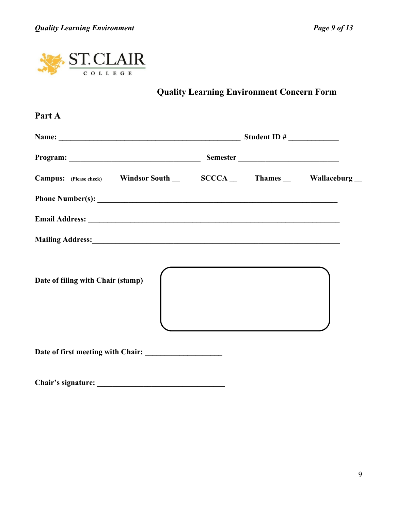

**Quality Learning Environment Concern Form**

| Name: $\frac{1}{2}$ Student ID #                                      |  |  |
|-----------------------------------------------------------------------|--|--|
|                                                                       |  |  |
| Campus: (Please check) Windsor South _ SCCCA _ Thames _ Wallaceburg _ |  |  |
|                                                                       |  |  |
|                                                                       |  |  |
|                                                                       |  |  |
| Date of filing with Chair (stamp)                                     |  |  |
|                                                                       |  |  |
| Chair's signature:                                                    |  |  |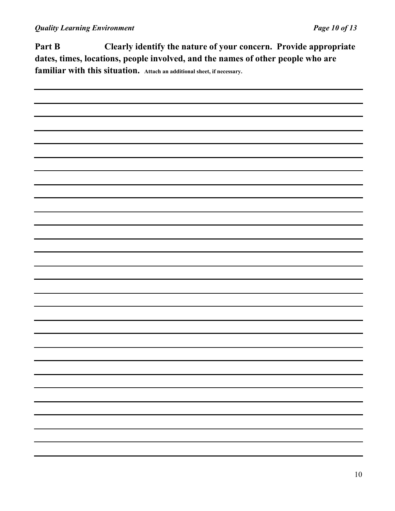**Part B Clearly identify the nature of your concern. Provide appropriate dates, times, locations, people involved, and the names of other people who are familiar with this situation. Attach an additional sheet, if necessary.**

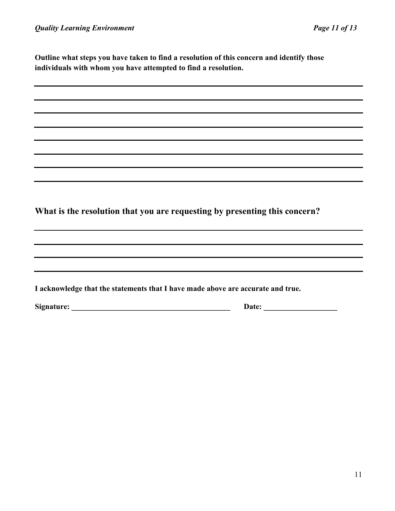**Outline what steps you have taken to find a resolution of this concern and identify those individuals with whom you have attempted to find a resolution.**

**What is the resolution that you are requesting by presenting this concern?**

| I acknowledge that the statements that I have made above are accurate and true. |
|---------------------------------------------------------------------------------|
|---------------------------------------------------------------------------------|

**Signature: \_\_\_\_\_\_\_\_\_\_\_\_\_\_\_\_\_\_\_\_\_\_\_\_\_\_\_\_\_\_\_\_\_\_\_\_\_\_\_\_\_ Date: \_\_\_\_\_\_\_\_\_\_\_\_\_\_\_\_\_\_\_**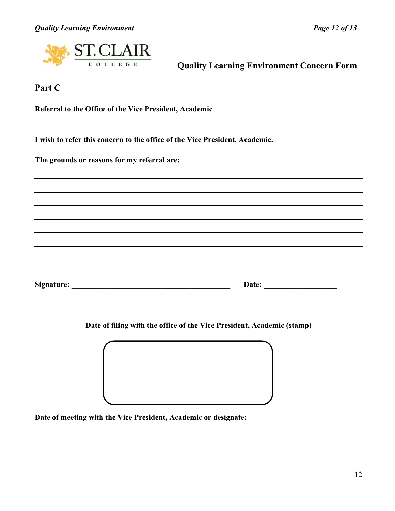*Quality Learning Environment Page 12 of 13* 



 **Quality Learning Environment Concern Form**

**Part C**

**Referral to the Office of the Vice President, Academic**

**I wish to refer this concern to the office of the Vice President, Academic.**

**The grounds or reasons for my referral are:** 

**Signature: \_\_\_\_\_\_\_\_\_\_\_\_\_\_\_\_\_\_\_\_\_\_\_\_\_\_\_\_\_\_\_\_\_\_\_\_\_\_\_\_\_ Date: \_\_\_\_\_\_\_\_\_\_\_\_\_\_\_\_\_\_\_** 

**Date of filing with the office of the Vice President, Academic (stamp)**

Date of meeting with the Vice President, Academic or designate: